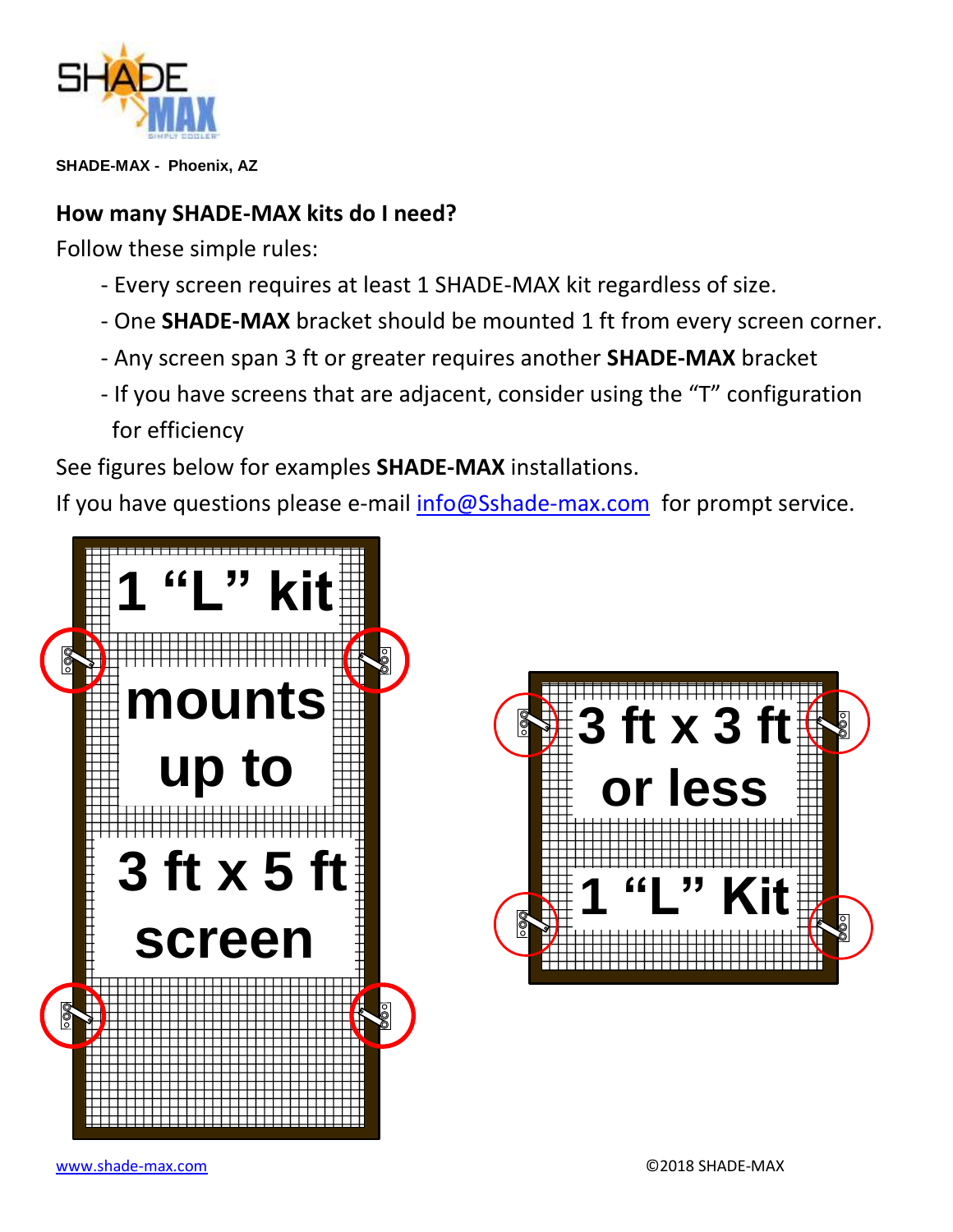

**SHADE-MAX - Phoenix, AZ**

## **How many SHADE-MAX kits do I need?**

Follow these simple rules:

- Every screen requires at least 1 SHADE-MAX kit regardless of size.
- One **SHADE-MAX** bracket should be mounted 1 ft from every screen corner.
- Any screen span 3 ft or greater requires another **SHADE-MAX** bracket
- If you have screens that are adjacent, consider using the "T" configuration for efficiency

See figures below for examples **SHADE-MAX** installations.

If you have questions please e-mail [info@Sshade-max.com](mailto:info@Sshade-max.com) for prompt service.



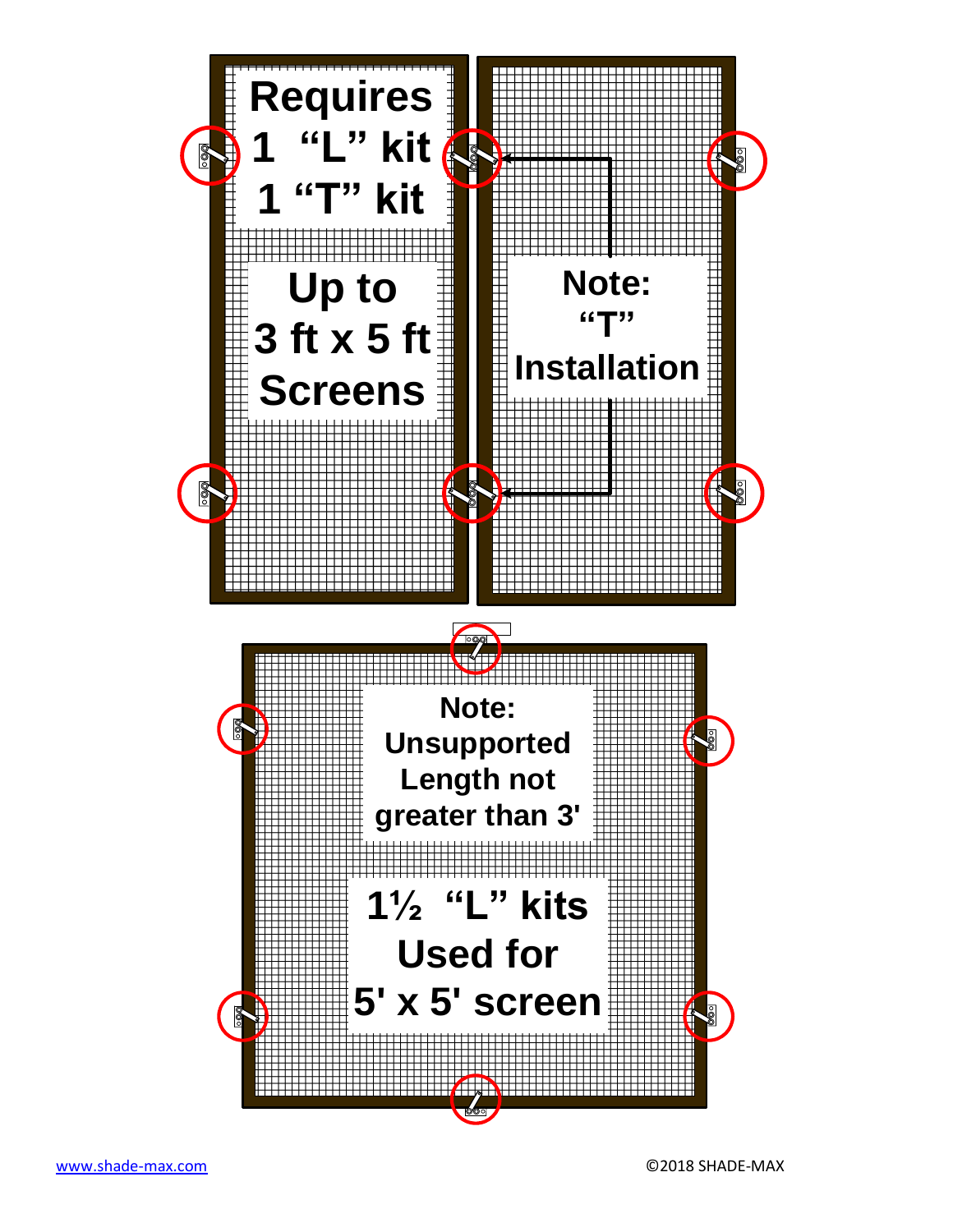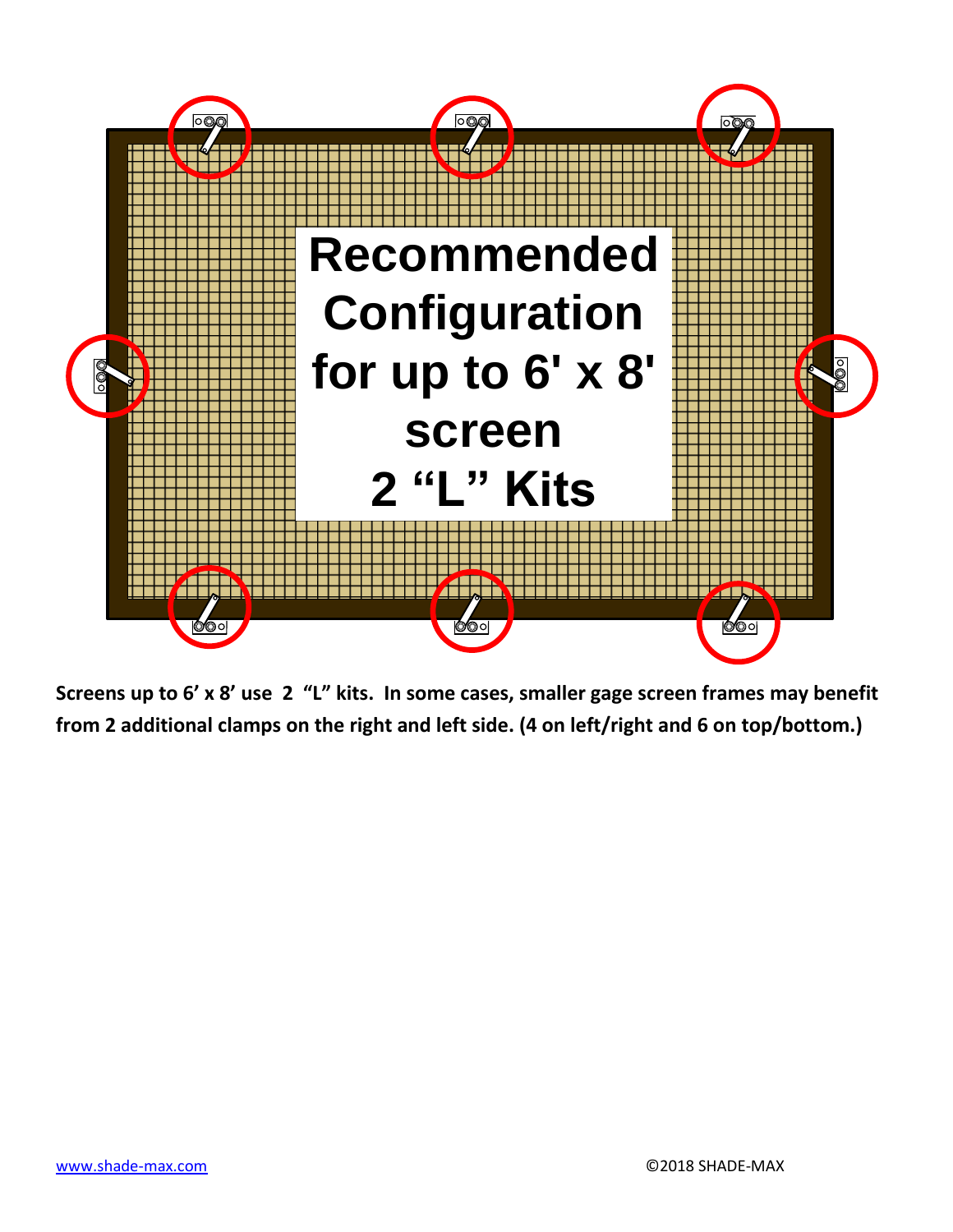

**Screens up to 6' x 8' use 2 "L" kits. In some cases, smaller gage screen frames may benefit from 2 additional clamps on the right and left side. (4 on left/right and 6 on top/bottom.)**